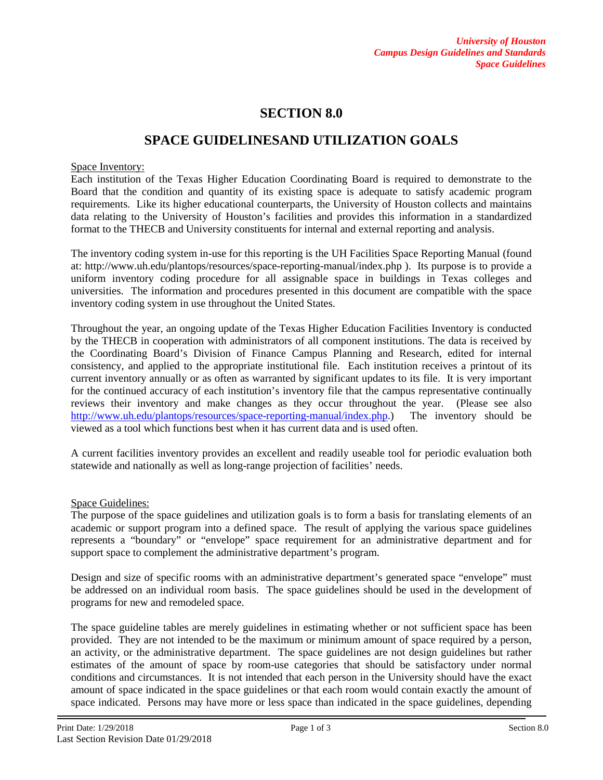# **SECTION 8.0**

## **SPACE GUIDELINESAND UTILIZATION GOALS**

#### Space Inventory:

Each institution of the Texas Higher Education Coordinating Board is required to demonstrate to the Board that the condition and quantity of its existing space is adequate to satisfy academic program requirements. Like its higher educational counterparts, the University of Houston collects and maintains data relating to the University of Houston's facilities and provides this information in a standardized format to the THECB and University constituents for internal and external reporting and analysis.

The inventory coding system in-use for this reporting is the UH Facilities Space Reporting Manual (found at: http://www.uh.edu/plantops/resources/space-reporting-manual/index.php ). Its purpose is to provide a uniform inventory coding procedure for all assignable space in buildings in Texas colleges and universities. The information and procedures presented in this document are compatible with the space inventory coding system in use throughout the United States.

Throughout the year, an ongoing update of the Texas Higher Education Facilities Inventory is conducted by the THECB in cooperation with administrators of all component institutions. The data is received by the Coordinating Board's Division of Finance Campus Planning and Research, edited for internal consistency, and applied to the appropriate institutional file. Each institution receives a printout of its current inventory annually or as often as warranted by significant updates to its file. It is very important for the continued accuracy of each institution's inventory file that the campus representative continually reviews their inventory and make changes as they occur throughout the year. (Please see also [http://www.uh.edu/plantops/resources/space-reporting-manual/index.php.](http://www.uh.edu/plantops/resources/space-reporting-manual/index.php)) The inventory should be viewed as a tool which functions best when it has current data and is used often.

A current facilities inventory provides an excellent and readily useable tool for periodic evaluation both statewide and nationally as well as long-range projection of facilities' needs.

#### Space Guidelines:

The purpose of the space guidelines and utilization goals is to form a basis for translating elements of an academic or support program into a defined space. The result of applying the various space guidelines represents a "boundary" or "envelope" space requirement for an administrative department and for support space to complement the administrative department's program.

Design and size of specific rooms with an administrative department's generated space "envelope" must be addressed on an individual room basis. The space guidelines should be used in the development of programs for new and remodeled space.

The space guideline tables are merely guidelines in estimating whether or not sufficient space has been provided. They are not intended to be the maximum or minimum amount of space required by a person, an activity, or the administrative department. The space guidelines are not design guidelines but rather estimates of the amount of space by room-use categories that should be satisfactory under normal conditions and circumstances. It is not intended that each person in the University should have the exact amount of space indicated in the space guidelines or that each room would contain exactly the amount of space indicated. Persons may have more or less space than indicated in the space guidelines, depending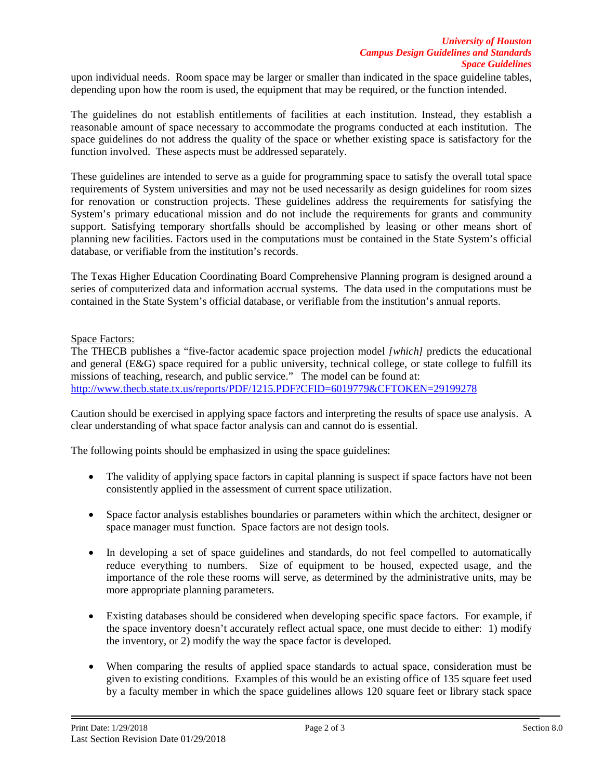upon individual needs. Room space may be larger or smaller than indicated in the space guideline tables, depending upon how the room is used, the equipment that may be required, or the function intended.

The guidelines do not establish entitlements of facilities at each institution. Instead, they establish a reasonable amount of space necessary to accommodate the programs conducted at each institution. The space guidelines do not address the quality of the space or whether existing space is satisfactory for the function involved. These aspects must be addressed separately.

These guidelines are intended to serve as a guide for programming space to satisfy the overall total space requirements of System universities and may not be used necessarily as design guidelines for room sizes for renovation or construction projects. These guidelines address the requirements for satisfying the System's primary educational mission and do not include the requirements for grants and community support. Satisfying temporary shortfalls should be accomplished by leasing or other means short of planning new facilities. Factors used in the computations must be contained in the State System's official database, or verifiable from the institution's records.

The Texas Higher Education Coordinating Board Comprehensive Planning program is designed around a series of computerized data and information accrual systems. The data used in the computations must be contained in the State System's official database, or verifiable from the institution's annual reports.

### Space Factors:

The THECB publishes a "five-factor academic space projection model *[which]* predicts the educational and general (E&G) space required for a public university, technical college, or state college to fulfill its missions of teaching, research, and public service." The model can be found at: <http://www.thecb.state.tx.us/reports/PDF/1215.PDF?CFID=6019779&CFTOKEN=29199278>

Caution should be exercised in applying space factors and interpreting the results of space use analysis. A clear understanding of what space factor analysis can and cannot do is essential.

The following points should be emphasized in using the space guidelines:

- The validity of applying space factors in capital planning is suspect if space factors have not been consistently applied in the assessment of current space utilization.
- Space factor analysis establishes boundaries or parameters within which the architect, designer or space manager must function. Space factors are not design tools.
- In developing a set of space guidelines and standards, do not feel compelled to automatically reduce everything to numbers. Size of equipment to be housed, expected usage, and the importance of the role these rooms will serve, as determined by the administrative units, may be more appropriate planning parameters.
- Existing databases should be considered when developing specific space factors. For example, if the space inventory doesn't accurately reflect actual space, one must decide to either: 1) modify the inventory, or 2) modify the way the space factor is developed.
- When comparing the results of applied space standards to actual space, consideration must be given to existing conditions. Examples of this would be an existing office of 135 square feet used by a faculty member in which the space guidelines allows 120 square feet or library stack space